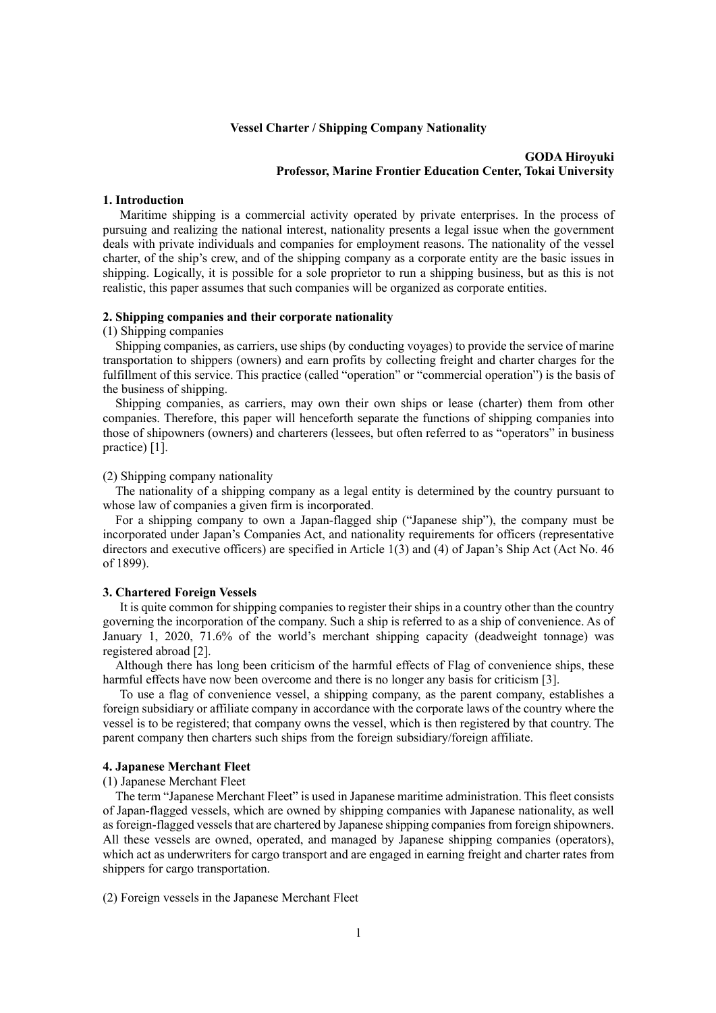## **Vessel Charter / Shipping Company Nationality**

# **GODA Hiroyuki Professor, Marine Frontier Education Center, Tokai University**

## **1. Introduction**

Maritime shipping is a commercial activity operated by private enterprises. In the process of pursuing and realizing the national interest, nationality presents a legal issue when the government deals with private individuals and companies for employment reasons. The nationality of the vessel charter, of the ship's crew, and of the shipping company as a corporate entity are the basic issues in shipping. Logically, it is possible for a sole proprietor to run a shipping business, but as this is not realistic, this paper assumes that such companies will be organized as corporate entities.

## **2. Shipping companies and their corporate nationality**

#### (1) Shipping companies

Shipping companies, as carriers, use ships (by conducting voyages) to provide the service of marine transportation to shippers (owners) and earn profits by collecting freight and charter charges for the fulfillment of this service. This practice (called "operation" or "commercial operation") is the basis of the business of shipping.

Shipping companies, as carriers, may own their own ships or lease (charter) them from other companies. Therefore, this paper will henceforth separate the functions of shipping companies into those of shipowners (owners) and charterers (lessees, but often referred to as "operators" in business practice) [1].

### (2) Shipping company nationality

The nationality of a shipping company as a legal entity is determined by the country pursuant to whose law of companies a given firm is incorporated.

For a shipping company to own a Japan-flagged ship ("Japanese ship"), the company must be incorporated under Japan's Companies Act, and nationality requirements for officers (representative directors and executive officers) are specified in Article 1(3) and (4) of Japan's Ship Act (Act No. 46 of 1899).

#### **3. Chartered Foreign Vessels**

It is quite common for shipping companies to register their ships in a country other than the country governing the incorporation of the company. Such a ship is referred to as a ship of convenience. As of January 1, 2020, 71.6% of the world's merchant shipping capacity (deadweight tonnage) was registered abroad [2].

Although there has long been criticism of the harmful effects of Flag of convenience ships, these harmful effects have now been overcome and there is no longer any basis for criticism [3].

To use a flag of convenience vessel, a shipping company, as the parent company, establishes a foreign subsidiary or affiliate company in accordance with the corporate laws of the country where the vessel is to be registered; that company owns the vessel, which is then registered by that country. The parent company then charters such ships from the foreign subsidiary/foreign affiliate.

## **4. Japanese Merchant Fleet**

# (1) Japanese Merchant Fleet

The term "Japanese Merchant Fleet" is used in Japanese maritime administration. This fleet consists of Japan-flagged vessels, which are owned by shipping companies with Japanese nationality, as well as foreign-flagged vessels that are chartered by Japanese shipping companies from foreign shipowners. All these vessels are owned, operated, and managed by Japanese shipping companies (operators), which act as underwriters for cargo transport and are engaged in earning freight and charter rates from shippers for cargo transportation.

#### (2) Foreign vessels in the Japanese Merchant Fleet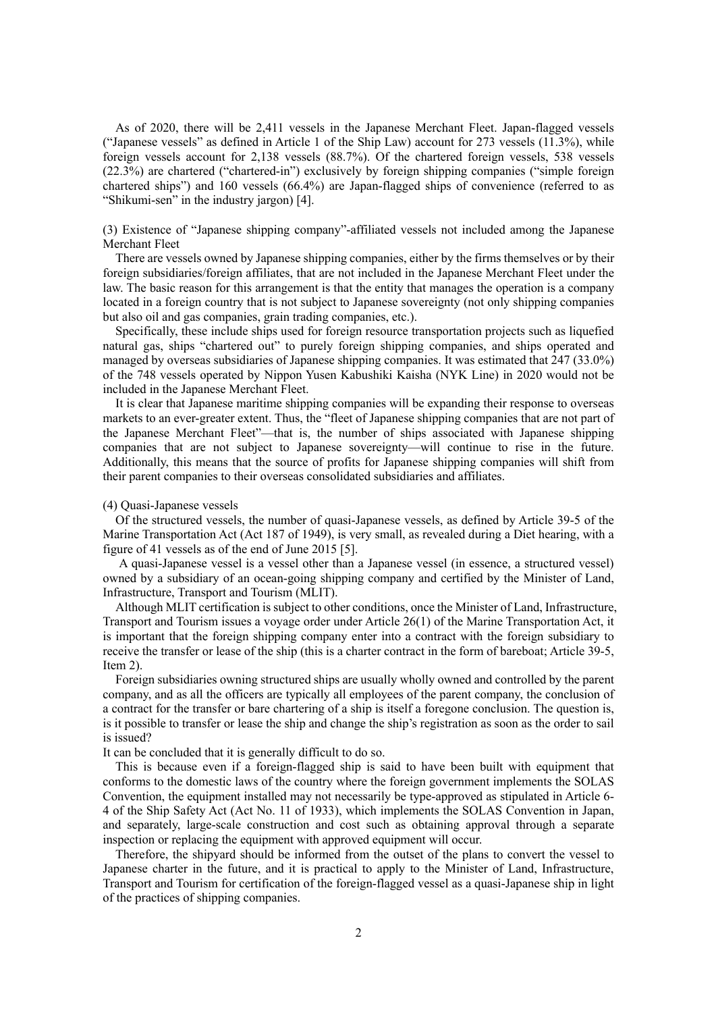As of 2020, there will be 2,411 vessels in the Japanese Merchant Fleet. Japan-flagged vessels ("Japanese vessels" as defined in Article 1 of the Ship Law) account for 273 vessels (11.3%), while foreign vessels account for 2,138 vessels (88.7%). Of the chartered foreign vessels, 538 vessels (22.3%) are chartered ("chartered-in") exclusively by foreign shipping companies ("simple foreign chartered ships") and 160 vessels (66.4%) are Japan-flagged ships of convenience (referred to as "Shikumi-sen" in the industry jargon) [4].

# (3) Existence of "Japanese shipping company"-affiliated vessels not included among the Japanese Merchant Fleet

There are vessels owned by Japanese shipping companies, either by the firms themselves or by their foreign subsidiaries/foreign affiliates, that are not included in the Japanese Merchant Fleet under the law. The basic reason for this arrangement is that the entity that manages the operation is a company located in a foreign country that is not subject to Japanese sovereignty (not only shipping companies but also oil and gas companies, grain trading companies, etc.).

Specifically, these include ships used for foreign resource transportation projects such as liquefied natural gas, ships "chartered out" to purely foreign shipping companies, and ships operated and managed by overseas subsidiaries of Japanese shipping companies. It was estimated that 247 (33.0%) of the 748 vessels operated by Nippon Yusen Kabushiki Kaisha (NYK Line) in 2020 would not be included in the Japanese Merchant Fleet.

It is clear that Japanese maritime shipping companies will be expanding their response to overseas markets to an ever-greater extent. Thus, the "fleet of Japanese shipping companies that are not part of the Japanese Merchant Fleet"—that is, the number of ships associated with Japanese shipping companies that are not subject to Japanese sovereignty—will continue to rise in the future. Additionally, this means that the source of profits for Japanese shipping companies will shift from their parent companies to their overseas consolidated subsidiaries and affiliates.

## (4) Quasi-Japanese vessels

Of the structured vessels, the number of quasi-Japanese vessels, as defined by Article 39-5 of the Marine Transportation Act (Act 187 of 1949), is very small, as revealed during a Diet hearing, with a figure of 41 vessels as of the end of June 2015 [5].

A quasi-Japanese vessel is a vessel other than a Japanese vessel (in essence, a structured vessel) owned by a subsidiary of an ocean-going shipping company and certified by the Minister of Land, Infrastructure, Transport and Tourism (MLIT).

Although MLIT certification is subject to other conditions, once the Minister of Land, Infrastructure, Transport and Tourism issues a voyage order under Article 26(1) of the Marine Transportation Act, it is important that the foreign shipping company enter into a contract with the foreign subsidiary to receive the transfer or lease of the ship (this is a charter contract in the form of bareboat; Article 39-5, Item 2).

Foreign subsidiaries owning structured ships are usually wholly owned and controlled by the parent company, and as all the officers are typically all employees of the parent company, the conclusion of a contract for the transfer or bare chartering of a ship is itself a foregone conclusion. The question is, is it possible to transfer or lease the ship and change the ship's registration as soon as the order to sail is issued?

It can be concluded that it is generally difficult to do so.

This is because even if a foreign-flagged ship is said to have been built with equipment that conforms to the domestic laws of the country where the foreign government implements the SOLAS Convention, the equipment installed may not necessarily be type-approved as stipulated in Article 6- 4 of the Ship Safety Act (Act No. 11 of 1933), which implements the SOLAS Convention in Japan, and separately, large-scale construction and cost such as obtaining approval through a separate inspection or replacing the equipment with approved equipment will occur.

Therefore, the shipyard should be informed from the outset of the plans to convert the vessel to Japanese charter in the future, and it is practical to apply to the Minister of Land, Infrastructure, Transport and Tourism for certification of the foreign-flagged vessel as a quasi-Japanese ship in light of the practices of shipping companies.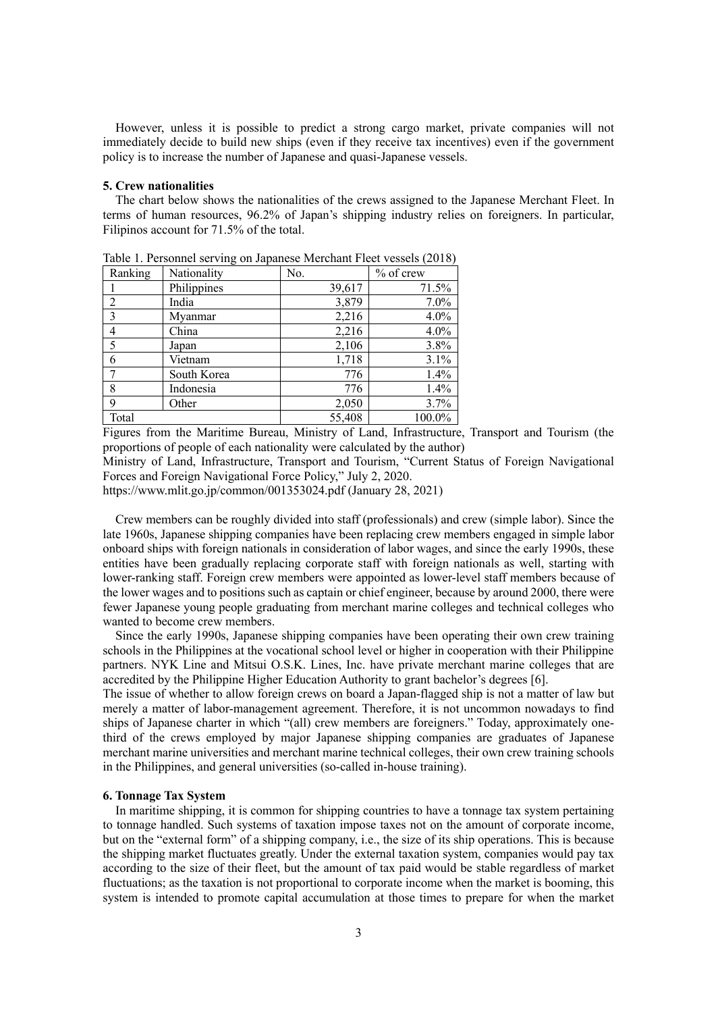However, unless it is possible to predict a strong cargo market, private companies will not immediately decide to build new ships (even if they receive tax incentives) even if the government policy is to increase the number of Japanese and quasi-Japanese vessels.

## **5. Crew nationalities**

The chart below shows the nationalities of the crews assigned to the Japanese Merchant Fleet. In terms of human resources, 96.2% of Japan's shipping industry relies on foreigners. In particular, Filipinos account for 71.5% of the total.

| Ranking        | Nationality | No.    | $%$ of crew |
|----------------|-------------|--------|-------------|
|                | Philippines | 39,617 | 71.5%       |
| $\overline{2}$ | India       | 3,879  | $7.0\%$     |
| 3              | Myanmar     | 2,216  | 4.0%        |
| 4              | China       | 2,216  | 4.0%        |
| 5              | Japan       | 2,106  | 3.8%        |
| 6              | Vietnam     | 1,718  | 3.1%        |
| 7              | South Korea | 776    | 1.4%        |
| 8              | Indonesia   | 776    | 1.4%        |
| 9              | Other       | 2,050  | 3.7%        |
| Total          |             | 55,408 | 100.0%      |

Table 1. Personnel serving on Japanese Merchant Fleet vessels (2018)

Figures from the Maritime Bureau, Ministry of Land, Infrastructure, Transport and Tourism (the proportions of people of each nationality were calculated by the author)

Ministry of Land, Infrastructure, Transport and Tourism, "Current Status of Foreign Navigational Forces and Foreign Navigational Force Policy," July 2, 2020.

https://www.mlit.go.jp/common/001353024.pdf (January 28, 2021)

Crew members can be roughly divided into staff (professionals) and crew (simple labor). Since the late 1960s, Japanese shipping companies have been replacing crew members engaged in simple labor onboard ships with foreign nationals in consideration of labor wages, and since the early 1990s, these entities have been gradually replacing corporate staff with foreign nationals as well, starting with lower-ranking staff. Foreign crew members were appointed as lower-level staff members because of the lower wages and to positions such as captain or chief engineer, because by around 2000, there were fewer Japanese young people graduating from merchant marine colleges and technical colleges who wanted to become crew members.

Since the early 1990s, Japanese shipping companies have been operating their own crew training schools in the Philippines at the vocational school level or higher in cooperation with their Philippine partners. NYK Line and Mitsui O.S.K. Lines, Inc. have private merchant marine colleges that are accredited by the Philippine Higher Education Authority to grant bachelor's degrees [6].

The issue of whether to allow foreign crews on board a Japan-flagged ship is not a matter of law but merely a matter of labor-management agreement. Therefore, it is not uncommon nowadays to find ships of Japanese charter in which "(all) crew members are foreigners." Today, approximately onethird of the crews employed by major Japanese shipping companies are graduates of Japanese merchant marine universities and merchant marine technical colleges, their own crew training schools in the Philippines, and general universities (so-called in-house training).

# **6. Tonnage Tax System**

In maritime shipping, it is common for shipping countries to have a tonnage tax system pertaining to tonnage handled. Such systems of taxation impose taxes not on the amount of corporate income, but on the "external form" of a shipping company, i.e., the size of its ship operations. This is because the shipping market fluctuates greatly. Under the external taxation system, companies would pay tax according to the size of their fleet, but the amount of tax paid would be stable regardless of market fluctuations; as the taxation is not proportional to corporate income when the market is booming, this system is intended to promote capital accumulation at those times to prepare for when the market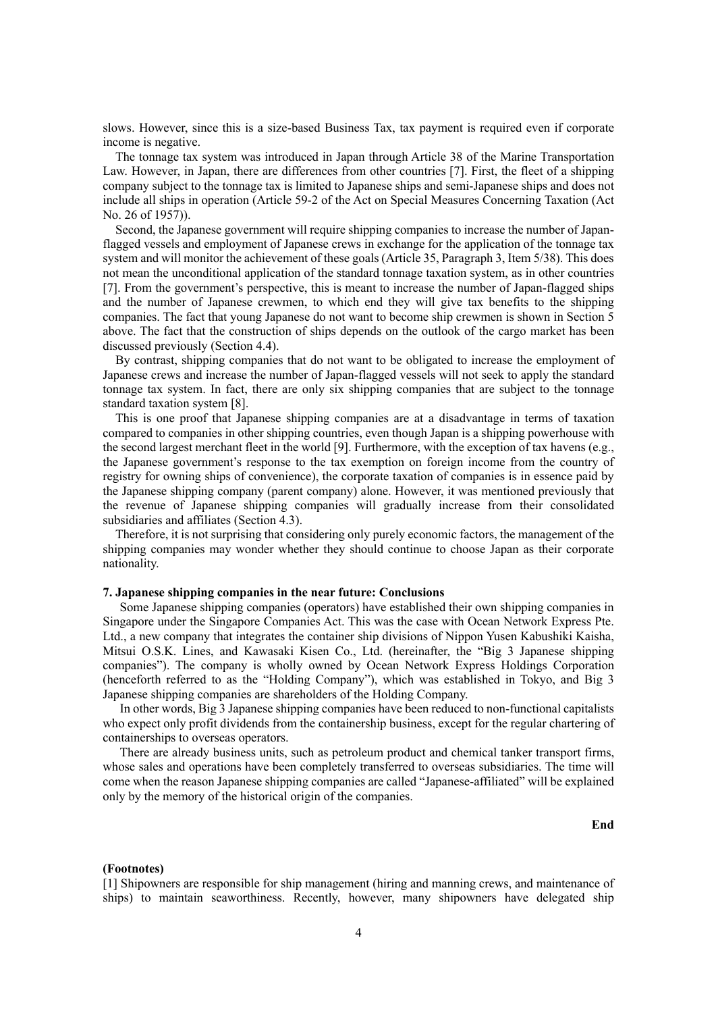slows. However, since this is a size-based Business Tax, tax payment is required even if corporate income is negative.

The tonnage tax system was introduced in Japan through Article 38 of the Marine Transportation Law. However, in Japan, there are differences from other countries [7]. First, the fleet of a shipping company subject to the tonnage tax is limited to Japanese ships and semi-Japanese ships and does not include all ships in operation (Article 59-2 of the Act on Special Measures Concerning Taxation (Act No. 26 of 1957)).

Second, the Japanese government will require shipping companies to increase the number of Japanflagged vessels and employment of Japanese crews in exchange for the application of the tonnage tax system and will monitor the achievement of these goals (Article 35, Paragraph 3, Item 5/38). This does not mean the unconditional application of the standard tonnage taxation system, as in other countries [7]. From the government's perspective, this is meant to increase the number of Japan-flagged ships and the number of Japanese crewmen, to which end they will give tax benefits to the shipping companies. The fact that young Japanese do not want to become ship crewmen is shown in Section 5 above. The fact that the construction of ships depends on the outlook of the cargo market has been discussed previously (Section 4.4).

By contrast, shipping companies that do not want to be obligated to increase the employment of Japanese crews and increase the number of Japan-flagged vessels will not seek to apply the standard tonnage tax system. In fact, there are only six shipping companies that are subject to the tonnage standard taxation system [8].

This is one proof that Japanese shipping companies are at a disadvantage in terms of taxation compared to companies in other shipping countries, even though Japan is a shipping powerhouse with the second largest merchant fleet in the world [9]. Furthermore, with the exception of tax havens (e.g., the Japanese government's response to the tax exemption on foreign income from the country of registry for owning ships of convenience), the corporate taxation of companies is in essence paid by the Japanese shipping company (parent company) alone. However, it was mentioned previously that the revenue of Japanese shipping companies will gradually increase from their consolidated subsidiaries and affiliates (Section 4.3).

Therefore, it is not surprising that considering only purely economic factors, the management of the shipping companies may wonder whether they should continue to choose Japan as their corporate nationality.

#### **7. Japanese shipping companies in the near future: Conclusions**

Some Japanese shipping companies (operators) have established their own shipping companies in Singapore under the Singapore Companies Act. This was the case with Ocean Network Express Pte. Ltd., a new company that integrates the container ship divisions of Nippon Yusen Kabushiki Kaisha, Mitsui O.S.K. Lines, and Kawasaki Kisen Co., Ltd. (hereinafter, the "Big 3 Japanese shipping companies"). The company is wholly owned by Ocean Network Express Holdings Corporation (henceforth referred to as the "Holding Company"), which was established in Tokyo, and Big 3 Japanese shipping companies are shareholders of the Holding Company.

In other words, Big 3 Japanese shipping companies have been reduced to non-functional capitalists who expect only profit dividends from the containership business, except for the regular chartering of containerships to overseas operators.

There are already business units, such as petroleum product and chemical tanker transport firms, whose sales and operations have been completely transferred to overseas subsidiaries. The time will come when the reason Japanese shipping companies are called "Japanese-affiliated" will be explained only by the memory of the historical origin of the companies.

**End**

#### **(Footnotes)**

[1] Shipowners are responsible for ship management (hiring and manning crews, and maintenance of ships) to maintain seaworthiness. Recently, however, many shipowners have delegated ship